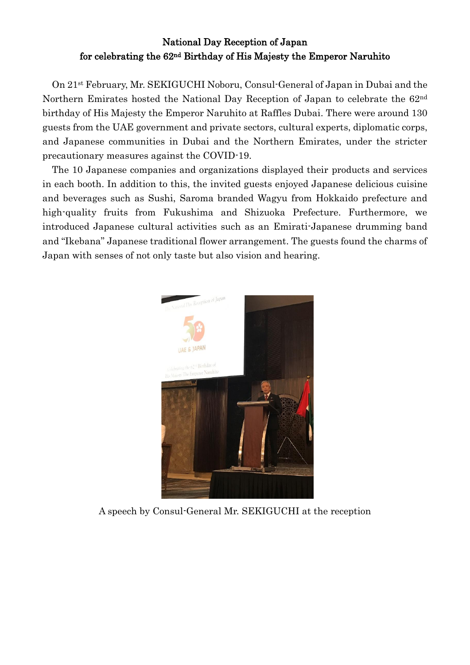## National Day Reception of Japan for celebrating the 62nd Birthday of His Majesty the Emperor Naruhito

On 21st February, Mr. SEKIGUCHI Noboru, Consul-General of Japan in Dubai and the Northern Emirates hosted the National Day Reception of Japan to celebrate the 62nd birthday of His Majesty the Emperor Naruhito at Raffles Dubai. There were around 130 guests from the UAE government and private sectors, cultural experts, diplomatic corps, and Japanese communities in Dubai and the Northern Emirates, under the stricter precautionary measures against the COVID-19.

The 10 Japanese companies and organizations displayed their products and services in each booth. In addition to this, the invited guests enjoyed Japanese delicious cuisine and beverages such as Sushi, Saroma branded Wagyu from Hokkaido prefecture and high-quality fruits from Fukushima and Shizuoka Prefecture. Furthermore, we introduced Japanese cultural activities such as an Emirati-Japanese drumming band and "Ikebana" Japanese traditional flower arrangement. The guests found the charms of Japan with senses of not only taste but also vision and hearing.



A speech by Consul-General Mr. SEKIGUCHI at the reception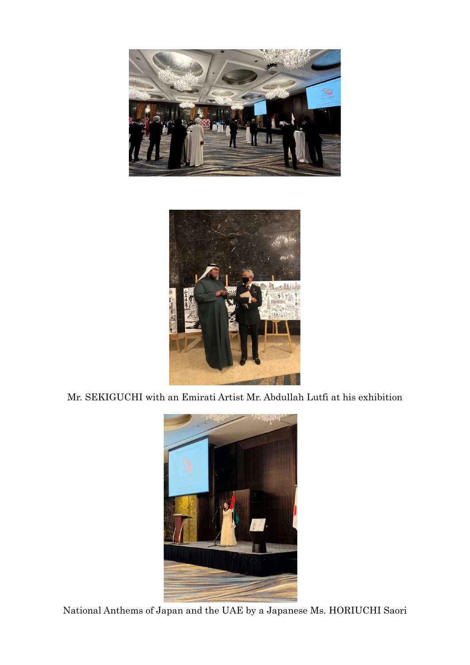



Mr. SEKIGUCHI with an Emirati Artist Mr. Abdullah Lutfi at his exhibition



National Anthems of Japan and the UAE by a Japanese Ms. HORIUCHI Saori